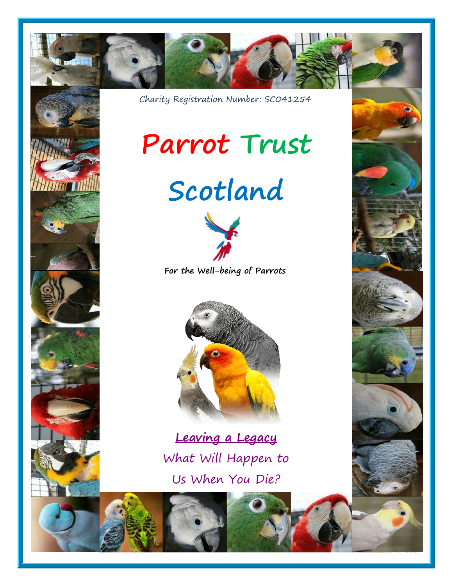





Charity Registration Number: SC041254

# **Parrot Trust**





**For the Well-being of Parrots**



**Leaving a Legacy** What Will Happen to Us When You Die?



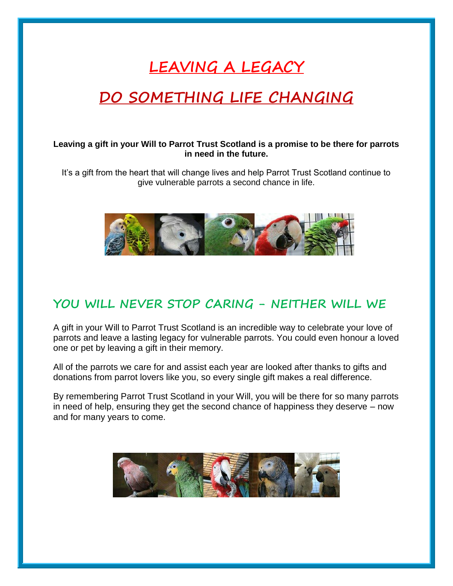## **LEAVING A LEGACY**

## **DO SOMETHING LIFE CHANGING**

#### **Leaving a gift in your Will to Parrot Trust Scotland is a promise to be there for parrots in need in the future.**

It's a gift from the heart that will change lives and help Parrot Trust Scotland continue to give vulnerable parrots a second chance in life.



#### **YOU WILL NEVER STOP CARING - NEITHER WILL WE**

A gift in your Will to Parrot Trust Scotland is an incredible way to celebrate your love of parrots and leave a lasting legacy for vulnerable parrots. You could even honour a loved one or pet by leaving a gift in their memory.

All of the parrots we care for and assist each year are looked after thanks to gifts and donations from parrot lovers like you, so every single gift makes a real difference.

By remembering Parrot Trust Scotland in your Will, you will be there for so many parrots in need of help, ensuring they get the second chance of happiness they deserve – now and for many years to come.

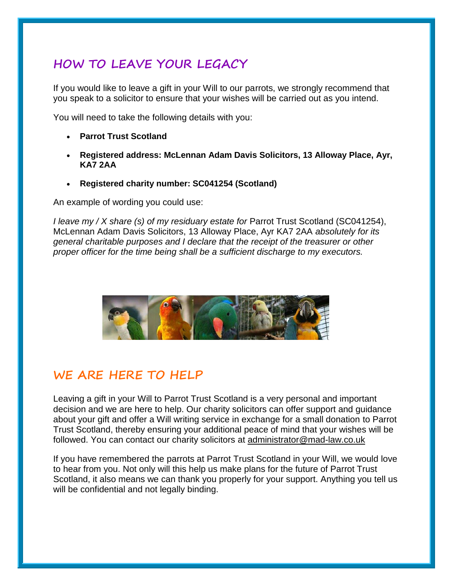### **HOW TO LEAVE YOUR LEGACY**

If you would like to leave a gift in your Will to our parrots, we strongly recommend that you speak to a solicitor to ensure that your wishes will be carried out as you intend.

You will need to take the following details with you:

- **Parrot Trust Scotland**
- **Registered address: McLennan Adam Davis Solicitors, 13 Alloway Place, Ayr, KA7 2AA**
- **Registered charity number: SC041254 (Scotland)**

An example of wording you could use:

*I leave my / X share (s) of my residuary estate for Parrot Trust Scotland (SC041254),* McLennan Adam Davis Solicitors, 13 Alloway Place, Ayr KA7 2AA *absolutely for its general charitable purposes and I declare that the receipt of the treasurer or other proper officer for the time being shall be a sufficient discharge to my executors.*



#### **WE ARE HERE TO HELP**

Leaving a gift in your Will to Parrot Trust Scotland is a very personal and important decision and we are here to help. Our charity solicitors can offer support and guidance about your gift and offer a Will writing service in exchange for a small donation to Parrot Trust Scotland, thereby ensuring your additional peace of mind that your wishes will be followed. You can contact our charity solicitors at [administrator@mad-law.co.uk](mailto:administrator@mad-law.co.uk)

If you have remembered the parrots at Parrot Trust Scotland in your Will, we would love to hear from you. Not only will this help us make plans for the future of Parrot Trust Scotland, it also means we can thank you properly for your support. Anything you tell us will be confidential and not legally binding.